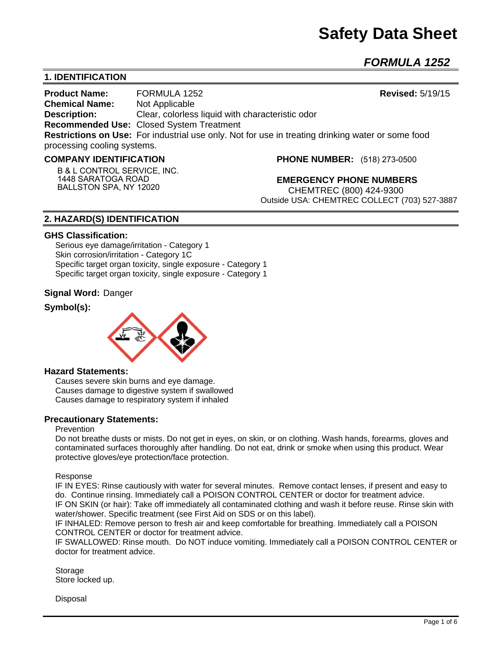# **Safety Data Sheet**

*FORMULA 1252* 

## **1. IDENTIFICATION**

**Product Name:** FORMULA 1252 **Revised:** 5/19/15 **Chemical Name:** Not Applicable **Description:** Clear, colorless liquid with characteristic odor **Recommended Use:** Closed System Treatment **Restrictions on Use:** For industrial use only. Not for use in treating drinking water or some food processing cooling systems.

#### **COMPANY IDENTIFICATION**

**B & L CONTROL SERVICE, INC. 1448 SARATOGA ROAD BALLSTON SPA, NY 12020**

**PHONE NUMBER:** (518) 273-0500

**EMERGENCY PHONE NUMBERS** CHEMTREC (800) 424-9300 Outside USA: CHEMTREC COLLECT (703) 527-3887

## **2. HAZARD(S) IDENTIFICATION**

#### **GHS Classification:**

Serious eye damage/irritation - Category 1 Skin corrosion/irritation - Category 1C Specific target organ toxicity, single exposure - Category 1 Specific target organ toxicity, single exposure - Category 1

### **Signal Word:** Danger

## **Symbol(s):**



#### **Hazard Statements:**

Causes severe skin burns and eye damage. Causes damage to digestive system if swallowed Causes damage to respiratory system if inhaled

### **Precautionary Statements:**

#### Prevention

Do not breathe dusts or mists. Do not get in eyes, on skin, or on clothing. Wash hands, forearms, gloves and contaminated surfaces thoroughly after handling. Do not eat, drink or smoke when using this product. Wear protective gloves/eye protection/face protection.

Response

IF IN EYES: Rinse cautiously with water for several minutes. Remove contact lenses, if present and easy to do. Continue rinsing. Immediately call a POISON CONTROL CENTER or doctor for treatment advice. IF ON SKIN (or hair): Take off immediately all contaminated clothing and wash it before reuse. Rinse skin with water/shower. Specific treatment (see First Aid on SDS or on this label).

IF INHALED: Remove person to fresh air and keep comfortable for breathing. Immediately call a POISON CONTROL CENTER or doctor for treatment advice.

IF SWALLOWED: Rinse mouth. Do NOT induce vomiting. Immediately call a POISON CONTROL CENTER or doctor for treatment advice.

Storage Store locked up.

Disposal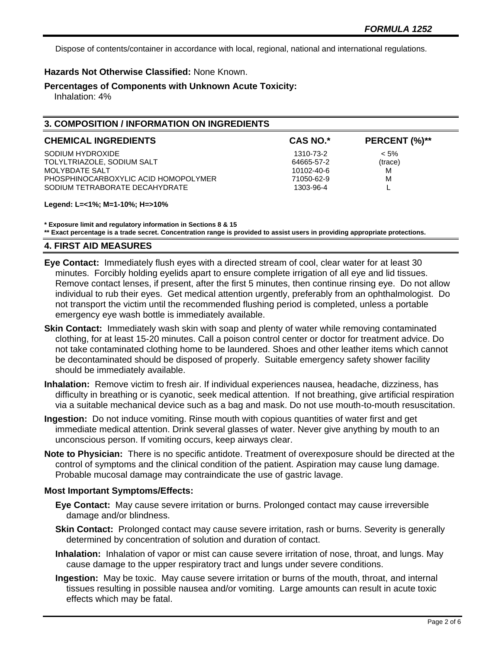Dispose of contents/container in accordance with local, regional, national and international regulations.

## **Hazards Not Otherwise Classified:** None Known.

### **Percentages of Components with Unknown Acute Toxicity:**

Inhalation: 4%

## **3. COMPOSITION / INFORMATION ON INGREDIENTS**

| <b>CHEMICAL INGREDIENTS</b>          | <b>CAS NO.*</b> | PERCENT (%)** |
|--------------------------------------|-----------------|---------------|
| SODIUM HYDROXIDE                     | 1310-73-2       | $< 5\%$       |
| TOLYLTRIAZOLE, SODIUM SALT           | 64665-57-2      | (trace)       |
| MOLYBDATE SALT                       | 10102-40-6      | м             |
| PHOSPHINOCARBOXYLIC ACID HOMOPOLYMER | 71050-62-9      | м             |
| SODIUM TETRABORATE DECAHYDRATE       | 1303-96-4       |               |

#### **Legend: L=<1%; M=1-10%; H=>10%**

**\* Exposure limit and regulatory information in Sections 8 & 15**

**\*\* Exact percentage is a trade secret. Concentration range is provided to assist users in providing appropriate protections.**

## **4. FIRST AID MEASURES**

- **Eye Contact:** Immediately flush eyes with a directed stream of cool, clear water for at least 30 minutes. Forcibly holding eyelids apart to ensure complete irrigation of all eye and lid tissues. Remove contact lenses, if present, after the first 5 minutes, then continue rinsing eye. Do not allow individual to rub their eyes. Get medical attention urgently, preferably from an ophthalmologist. Do not transport the victim until the recommended flushing period is completed, unless a portable emergency eye wash bottle is immediately available.
- **Skin Contact:** Immediately wash skin with soap and plenty of water while removing contaminated clothing, for at least 15-20 minutes. Call a poison control center or doctor for treatment advice. Do not take contaminated clothing home to be laundered. Shoes and other leather items which cannot be decontaminated should be disposed of properly. Suitable emergency safety shower facility should be immediately available.
- **Inhalation:** Remove victim to fresh air. If individual experiences nausea, headache, dizziness, has difficulty in breathing or is cyanotic, seek medical attention. If not breathing, give artificial respiration via a suitable mechanical device such as a bag and mask. Do not use mouth-to-mouth resuscitation.
- **Ingestion:** Do not induce vomiting. Rinse mouth with copious quantities of water first and get immediate medical attention. Drink several glasses of water. Never give anything by mouth to an unconscious person. If vomiting occurs, keep airways clear.
- **Note to Physician:** There is no specific antidote. Treatment of overexposure should be directed at the control of symptoms and the clinical condition of the patient. Aspiration may cause lung damage. Probable mucosal damage may contraindicate the use of gastric lavage.

### **Most Important Symptoms/Effects:**

- **Eye Contact:** May cause severe irritation or burns. Prolonged contact may cause irreversible damage and/or blindness.
- **Skin Contact:** Prolonged contact may cause severe irritation, rash or burns. Severity is generally determined by concentration of solution and duration of contact.
- **Inhalation:** Inhalation of vapor or mist can cause severe irritation of nose, throat, and lungs. May cause damage to the upper respiratory tract and lungs under severe conditions.
- **Ingestion:** May be toxic. May cause severe irritation or burns of the mouth, throat, and internal tissues resulting in possible nausea and/or vomiting. Large amounts can result in acute toxic effects which may be fatal.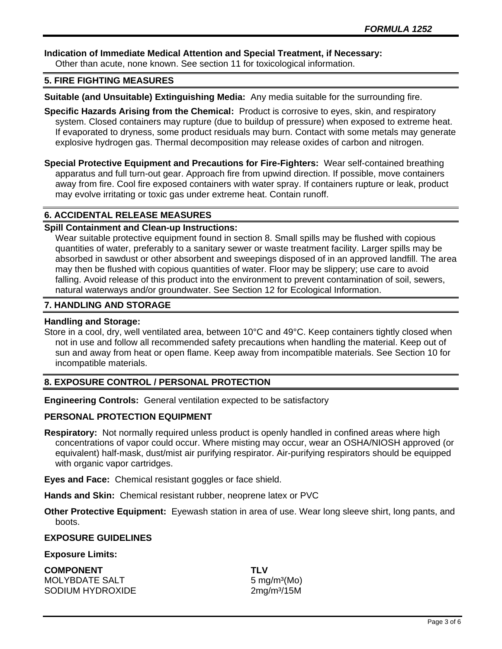## **Indication of Immediate Medical Attention and Special Treatment, if Necessary:**

Other than acute, none known. See section 11 for toxicological information.

## **5. FIRE FIGHTING MEASURES**

**Suitable (and Unsuitable) Extinguishing Media:** Any media suitable for the surrounding fire.

- **Specific Hazards Arising from the Chemical:** Product is corrosive to eyes, skin, and respiratory system. Closed containers may rupture (due to buildup of pressure) when exposed to extreme heat. If evaporated to dryness, some product residuals may burn. Contact with some metals may generate explosive hydrogen gas. Thermal decomposition may release oxides of carbon and nitrogen.
- **Special Protective Equipment and Precautions for Fire-Fighters:** Wear self-contained breathing apparatus and full turn-out gear. Approach fire from upwind direction. If possible, move containers away from fire. Cool fire exposed containers with water spray. If containers rupture or leak, product may evolve irritating or toxic gas under extreme heat. Contain runoff.

### **6. ACCIDENTAL RELEASE MEASURES**

### **Spill Containment and Clean-up Instructions:**

Wear suitable protective equipment found in section 8. Small spills may be flushed with copious quantities of water, preferably to a sanitary sewer or waste treatment facility. Larger spills may be absorbed in sawdust or other absorbent and sweepings disposed of in an approved landfill. The area may then be flushed with copious quantities of water. Floor may be slippery; use care to avoid falling. Avoid release of this product into the environment to prevent contamination of soil, sewers, natural waterways and/or groundwater. See Section 12 for Ecological Information.

### **7. HANDLING AND STORAGE**

#### **Handling and Storage:**

Store in a cool, dry, well ventilated area, between 10°C and 49°C. Keep containers tightly closed when not in use and follow all recommended safety precautions when handling the material. Keep out of sun and away from heat or open flame. Keep away from incompatible materials. See Section 10 for incompatible materials.

### **8. EXPOSURE CONTROL / PERSONAL PROTECTION**

**Engineering Controls:** General ventilation expected to be satisfactory

### **PERSONAL PROTECTION EQUIPMENT**

**Respiratory:** Not normally required unless product is openly handled in confined areas where high concentrations of vapor could occur. Where misting may occur, wear an OSHA/NIOSH approved (or equivalent) half-mask, dust/mist air purifying respirator. Air-purifying respirators should be equipped with organic vapor cartridges.

**Eyes and Face:** Chemical resistant goggles or face shield.

**Hands and Skin:** Chemical resistant rubber, neoprene latex or PVC

**Other Protective Equipment:** Eyewash station in area of use. Wear long sleeve shirt, long pants, and boots.

#### **EXPOSURE GUIDELINES**

#### **Exposure Limits:**

**COMPONENT TLV** MOLYBDATE SALT 5 mg/m<sup>3</sup>(Mo) SODIUM HYDROXIDE 2mg/m<sup>3</sup>/15M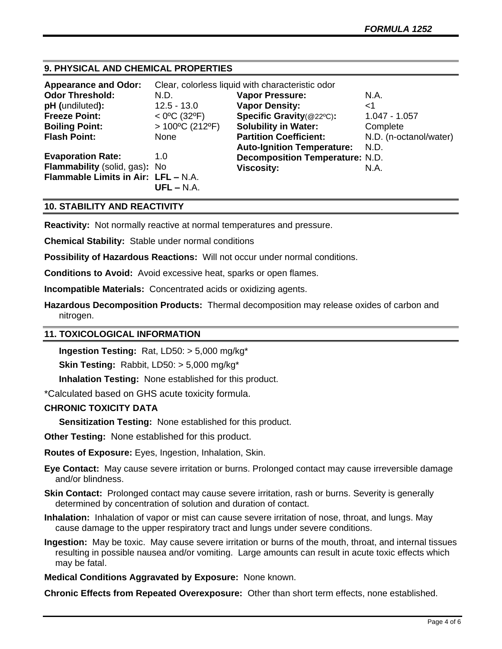## **9. PHYSICAL AND CHEMICAL PROPERTIES**

| <b>Appearance and Odor:</b>         | Clear, colorless liquid with characteristic odor |                                        |                        |
|-------------------------------------|--------------------------------------------------|----------------------------------------|------------------------|
| <b>Odor Threshold:</b>              | N.D.                                             | <b>Vapor Pressure:</b>                 | N.A.                   |
| pH (undiluted):                     | $12.5 - 13.0$                                    | <b>Vapor Density:</b>                  | ا>                     |
| <b>Freeze Point:</b>                | $<$ 0°C (32°F)                                   | Specific Gravity(@22°C):               | $1.047 - 1.057$        |
| <b>Boiling Point:</b>               | $>100^{\circ}$ C (212°F)                         | <b>Solubility in Water:</b>            | Complete               |
| <b>Flash Point:</b>                 | None                                             | <b>Partition Coefficient:</b>          | N.D. (n-octanol/water) |
|                                     |                                                  | <b>Auto-Ignition Temperature:</b>      | N.D.                   |
| <b>Evaporation Rate:</b>            | 1.0                                              | <b>Decomposition Temperature: N.D.</b> |                        |
| Flammability (solid, gas): No       |                                                  | <b>Viscosity:</b>                      | N.A.                   |
| Flammable Limits in Air: LFL - N.A. |                                                  |                                        |                        |
|                                     | $UFL - N.A.$                                     |                                        |                        |

### **10. STABILITY AND REACTIVITY**

**Reactivity:** Not normally reactive at normal temperatures and pressure.

**Chemical Stability:** Stable under normal conditions

**Possibility of Hazardous Reactions:** Will not occur under normal conditions.

**Conditions to Avoid:** Avoid excessive heat, sparks or open flames.

**Incompatible Materials:** Concentrated acids or oxidizing agents.

**Hazardous Decomposition Products:** Thermal decomposition may release oxides of carbon and nitrogen.

### **11. TOXICOLOGICAL INFORMATION**

**Ingestion Testing:** Rat, LD50: > 5,000 mg/kg\*

**Skin Testing:** Rabbit, LD50: > 5,000 mg/kg\*

**Inhalation Testing:** None established for this product.

\*Calculated based on GHS acute toxicity formula.

## **CHRONIC TOXICITY DATA**

**Sensitization Testing:** None established for this product.

**Other Testing:** None established for this product.

**Routes of Exposure:** Eyes, Ingestion, Inhalation, Skin.

**Eye Contact:** May cause severe irritation or burns. Prolonged contact may cause irreversible damage and/or blindness.

**Skin Contact:** Prolonged contact may cause severe irritation, rash or burns. Severity is generally determined by concentration of solution and duration of contact.

**Inhalation:** Inhalation of vapor or mist can cause severe irritation of nose, throat, and lungs. May cause damage to the upper respiratory tract and lungs under severe conditions.

**Ingestion:** May be toxic. May cause severe irritation or burns of the mouth, throat, and internal tissues resulting in possible nausea and/or vomiting. Large amounts can result in acute toxic effects which may be fatal.

**Medical Conditions Aggravated by Exposure:** None known.

**Chronic Effects from Repeated Overexposure:** Other than short term effects, none established.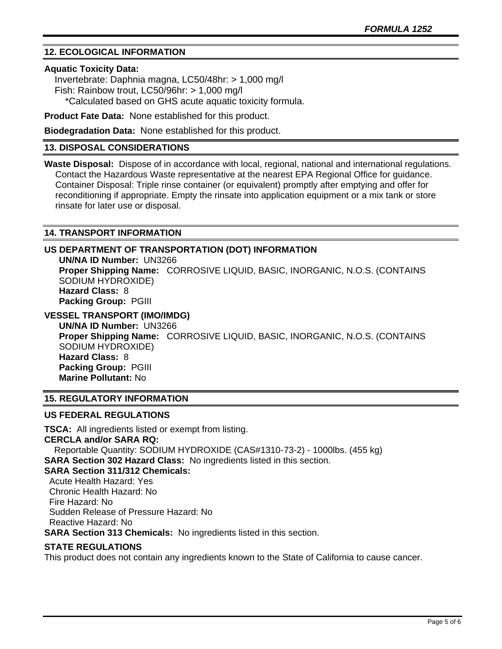## **12. ECOLOGICAL INFORMATION**

#### **Aquatic Toxicity Data:**

 Invertebrate: Daphnia magna, LC50/48hr: > 1,000 mg/l Fish: Rainbow trout, LC50/96hr: > 1,000 mg/l \*Calculated based on GHS acute aquatic toxicity formula.

**Product Fate Data:** None established for this product.

**Biodegradation Data:** None established for this product.

### **13. DISPOSAL CONSIDERATIONS**

**Waste Disposal:** Dispose of in accordance with local, regional, national and international regulations. Contact the Hazardous Waste representative at the nearest EPA Regional Office for guidance. Container Disposal: Triple rinse container (or equivalent) promptly after emptying and offer for reconditioning if appropriate. Empty the rinsate into application equipment or a mix tank or store rinsate for later use or disposal.

## **14. TRANSPORT INFORMATION**

## **US DEPARTMENT OF TRANSPORTATION (DOT) INFORMATION**

**UN/NA ID Number:** UN3266 **Proper Shipping Name:** CORROSIVE LIQUID, BASIC, INORGANIC, N.O.S. (CONTAINS SODIUM HYDROXIDE) **Hazard Class:** 8 **Packing Group:** PGIII

## **VESSEL TRANSPORT (IMO/IMDG)**

**UN/NA ID Number:** UN3266 **Proper Shipping Name:** CORROSIVE LIQUID, BASIC, INORGANIC, N.O.S. (CONTAINS SODIUM HYDROXIDE) **Hazard Class:** 8 **Packing Group:** PGIII **Marine Pollutant:** No

## **15. REGULATORY INFORMATION**

### **US FEDERAL REGULATIONS**

**TSCA:** All ingredients listed or exempt from listing. **CERCLA and/or SARA RQ:**  Reportable Quantity: SODIUM HYDROXIDE (CAS#1310-73-2) - 1000lbs. (455 kg) **SARA Section 302 Hazard Class:** No ingredients listed in this section. **SARA Section 311/312 Chemicals:**  Acute Health Hazard: Yes Chronic Health Hazard: No Fire Hazard: No Sudden Release of Pressure Hazard: No Reactive Hazard: No **SARA Section 313 Chemicals:** No ingredients listed in this section.

### **STATE REGULATIONS**

This product does not contain any ingredients known to the State of California to cause cancer.